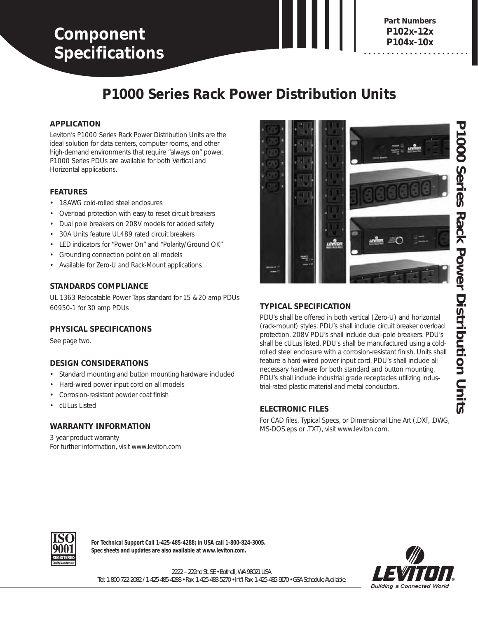# **Component Specifications**

**3880-DIN P104x-10x Part Numbers P102x-12x**

# **P1000 Series Rack Power Distribution Units**

#### **APPLICATION**

Leviton's P1000 Series Rack Power Distribution Units are the ideal solution for data centers, computer rooms, and other high-demand environments that require "always on" power. P1000 Series PDUs are available for both Vertical and Horizontal applications.

#### **FEATURES**

- 18AWG cold-rolled steel enclosures
- Overload protection with easy to reset circuit breakers
- Dual pole breakers on 208V models for added safety
- 30A Units feature UL489 rated circuit breakers
- LED indicators for "Power On" and "Polarity/Ground OK"
- Grounding connection point on all models
- Available for Zero-U and Rack-Mount applications

#### **STANDARDS COMPLIANCE**

UL 1363 Relocatable Power Taps standard for 15 & 20 amp PDUs 60950-1 for 30 amp PDUs

#### **PHYSICAL SPECIFICATIONS**

See page two.

### **DESIGN CONSIDERATIONS**

- Standard mounting and button mounting hardware included
- Hard-wired power input cord on all models
- Corrosion-resistant powder coat finish
- cULus Listed

#### **WARRANTY INFORMATION**

3 year product warranty For further information, visit www.leviton.com



## **TYPICAL SPECIFICATION**

PDU's shall be offered in both vertical (Zero-U) and horizontal (rack-mount) styles. PDU's shall include circuit breaker overload protection. 208V PDU's shall include dual-pole breakers. PDU's shall be cULus listed. PDU's shall be manufactured using a coldrolled steel enclosure with a corrosion-resistant finish. Units shall feature a hard-wired power input cord. PDU's shall include all necessary hardware for both standard and button mounting. PDU's shall include industrial grade receptacles utilizing industrial-rated plastic material and metal conductors.

### **ELECTRONIC FILES**

For CAD files, Typical Specs, or Dimensional Line Art (.DXF, .DWG, MS-DOS.eps or .TXT), visit www.leviton.com.



**For Technical Support Call 1-425-485-4288; in USA call 1-800-824-3005. Spec sheets and updates are also available at www.leviton.com.**



2222 – 222nd St. SE • Bothell, WA 98021 USA Tel: 1-800-722-2082 / 1-425-485-4288 • Fax: 1-425-483-5270 • Int'l Fax: 1-425-485-9170 • GSA Schedule Available.